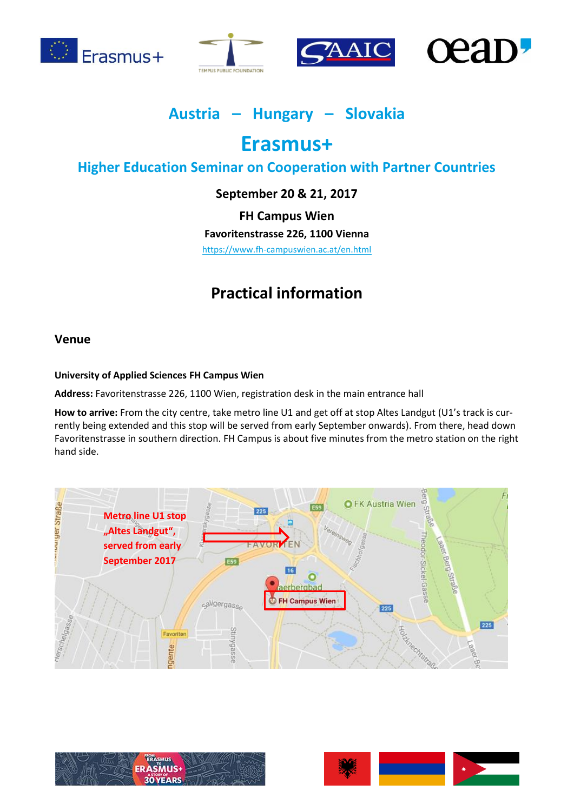







## **Austria – Hungary – Slovakia**

# **Erasmus+**

## **Higher Education Seminar on Cooperation with Partner Countries**

## **September 20 & 21, 2017**

**FH Campus Wien**

**Favoritenstrasse 226, 1100 Vienna**

<https://www.fh-campuswien.ac.at/en.html>

## **Practical information**

### **Venue**

#### **University of Applied Sciences FH Campus Wien**

**Address:** Favoritenstrasse 226, 1100 Wien, registration desk in the main entrance hall

**How to arrive:** From the city centre, take metro line U1 and get off at stop Altes Landgut (U1's track is currently being extended and this stop will be served from early September onwards). From there, head down Favoritenstrasse in southern direction. FH Campus is about five minutes from the metro station on the right hand side.





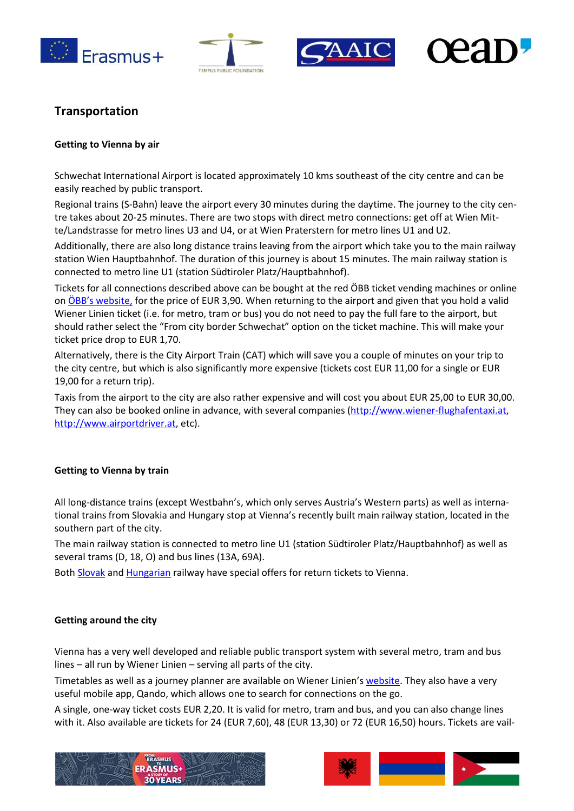







## **Transportation**

#### **Getting to Vienna by air**

Schwechat International Airport is located approximately 10 kms southeast of the city centre and can be easily reached by public transport.

Regional trains (S-Bahn) leave the airport every 30 minutes during the daytime. The journey to the city centre takes about 20-25 minutes. There are two stops with direct metro connections: get off at Wien Mitte/Landstrasse for metro lines U3 and U4, or at Wien Praterstern for metro lines U1 and U2.

Additionally, there are also long distance trains leaving from the airport which take you to the main railway station Wien Hauptbahnhof. The duration of this journey is about 15 minutes. The main railway station is connected to metro line U1 (station Südtiroler Platz/Hauptbahnhof).

Tickets for all connections described above can be bought at the red ÖBB ticket vending machines or online on [ÖBB's website](http://www.oebb.at/en/), for the price of EUR 3,90. When returning to the airport and given that you hold a valid Wiener Linien ticket (i.e. for metro, tram or bus) you do not need to pay the full fare to the airport, but should rather select the "From city border Schwechat" option on the ticket machine. This will make your ticket price drop to EUR 1,70.

Alternatively, there is the City Airport Train (CAT) which will save you a couple of minutes on your trip to the city centre, but which is also significantly more expensive (tickets cost EUR 11,00 for a single or EUR 19,00 for a return trip).

Taxis from the airport to the city are also rather expensive and will cost you about EUR 25,00 to EUR 30,00. They can also be booked online in advance, with several companies [\(http://www.wiener-flughafentaxi.at,](http://www.wiener-flughafentaxi.at/) [http://www.airportdriver.at,](http://www.airportdriver.at/) etc).

#### **Getting to Vienna by train**

All long-distance trains (except Westbahn's, which only serves Austria's Western parts) as well as international trains from Slovakia and Hungary stop at Vienna's recently built main railway station, located in the southern part of the city.

The main railway station is connected to metro line U1 (station Südtiroler Platz/Hauptbahnhof) as well as several trams (D, 18, O) and bus lines (13A, 69A).

Bot[h Slovak](http://www.slovakrail.sk/en/tickets-abroad/austria/euregio-wien-ticket.html) and [Hungarian](https://www.mavcsoport.hu/en) railway have special offers for return tickets to Vienna.

#### **Getting around the city**

Vienna has a very well developed and reliable public transport system with several metro, tram and bus lines – all run by Wiener Linien – serving all parts of the city.

Timetables as well as a journey planner are available on Wiener Linien's [website.](https://www.wienerlinien.at/eportal3/ep/tab.do?tabId=0) They also have a very useful mobile app, Qando, which allows one to search for connections on the go.

A single, one-way ticket costs EUR 2,20. It is valid for metro, tram and bus, and you can also change lines with it. Also available are tickets for 24 (EUR 7,60), 48 (EUR 13,30) or 72 (EUR 16,50) hours. Tickets are vail-